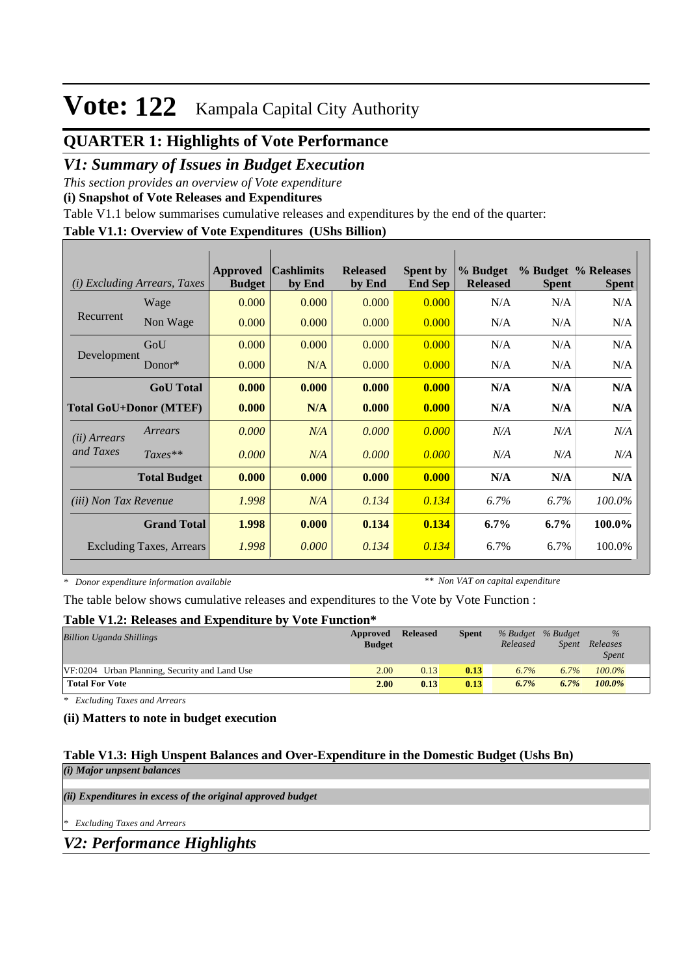# **Vote: 122** Kampala Capital City Authority

# **QUARTER 1: Highlights of Vote Performance**

## *V1: Summary of Issues in Budget Execution*

*This section provides an overview of Vote expenditure* 

**(i) Snapshot of Vote Releases and Expenditures**

Table V1.1 below summarises cumulative releases and expenditures by the end of the quarter:

## **Table V1.1: Overview of Vote Expenditures (UShs Billion)**

| <b>Excluding Arrears, Taxes</b><br>(i) |                                 | Approved<br><b>Budget</b> | <b>Cashlimits</b><br>by End | <b>Released</b><br>by End | <b>Spent by</b><br><b>End Sep</b> | % Budget<br><b>Released</b> | <b>Spent</b> | % Budget % Releases<br><b>Spent</b> |
|----------------------------------------|---------------------------------|---------------------------|-----------------------------|---------------------------|-----------------------------------|-----------------------------|--------------|-------------------------------------|
| Recurrent                              | Wage                            | 0.000                     | 0.000                       | 0.000                     | 0.000                             | N/A                         | N/A          | N/A                                 |
|                                        | Non Wage                        | 0.000                     | 0.000                       | 0.000                     | 0.000                             | N/A                         | N/A          | N/A                                 |
| Development                            | GoU                             | 0.000                     | 0.000                       | 0.000                     | 0.000                             | N/A                         | N/A          | N/A                                 |
|                                        | Donor $*$                       | 0.000                     | N/A                         | 0.000                     | 0.000                             | N/A                         | N/A          | N/A                                 |
|                                        | <b>GoU</b> Total                | 0.000                     | 0.000                       | 0.000                     | 0.000                             | N/A                         | N/A          | N/A                                 |
| <b>Total GoU+Donor (MTEF)</b>          |                                 | 0.000                     | N/A                         | 0.000                     | 0.000                             | N/A                         | N/A          | N/A                                 |
| ( <i>ii</i> ) Arrears<br>and Taxes     | Arrears                         | 0.000                     | N/A                         | 0.000                     | 0.000                             | N/A                         | N/A          | N/A                                 |
|                                        | $Taxes**$                       | 0.000                     | N/A                         | 0.000                     | 0.000                             | N/A                         | N/A          | N/A                                 |
|                                        | <b>Total Budget</b>             | 0.000                     | 0.000                       | 0.000                     | 0.000                             | N/A                         | N/A          | N/A                                 |
| <i>(iii)</i> Non Tax Revenue           |                                 | 1.998                     | N/A                         | 0.134                     | 0.134                             | 6.7%                        | 6.7%         | 100.0%                              |
| <b>Grand Total</b>                     |                                 | 1.998                     | 0.000                       | 0.134                     | 0.134                             | $6.7\%$                     | $6.7\%$      | 100.0%                              |
|                                        | <b>Excluding Taxes, Arrears</b> | 1.998                     | 0.000                       | 0.134                     | 0.134                             | 6.7%                        | 6.7%         | 100.0%                              |

*\* Donor expenditure information available*

*\*\* Non VAT on capital expenditure*

The table below shows cumulative releases and expenditures to the Vote by Vote Function :

#### **Table V1.2: Releases and Expenditure by Vote Function\***

| <b>Billion Uganda Shillings</b>               | Approved<br><b>Budget</b> | <b>Released</b> | <b>Spent</b> | % Budget % Budget<br>Released | Spent | $\%$<br>Releases<br><b>Spent</b> |
|-----------------------------------------------|---------------------------|-----------------|--------------|-------------------------------|-------|----------------------------------|
| VF:0204 Urban Planning, Security and Land Use | 2.00                      | 0.13            | 0.13         | 6.7%                          | 6.7%  | $100.0\%$                        |
| <b>Total For Vote</b>                         | 2.00                      | 0.13            | 0.13         | 6.7%                          | 6.7%  | $100.0\%$                        |

*\* Excluding Taxes and Arrears*

## **(ii) Matters to note in budget execution**

#### **Table V1.3: High Unspent Balances and Over-Expenditure in the Domestic Budget (Ushs Bn)** *(i) Major unpsent balances*

*(ii) Expenditures in excess of the original approved budget*

*\* Excluding Taxes and Arrears*

*V2: Performance Highlights*